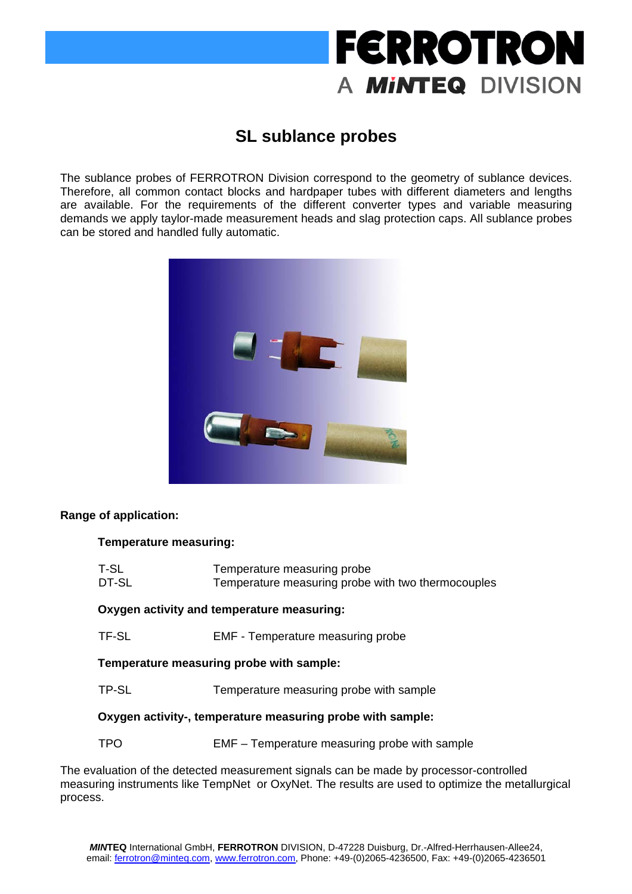# **FERROTRON** A **MINTEQ** DIVISION

### **SL sublance probes**

The sublance probes of FERROTRON Division correspond to the geometry of sublance devices. Therefore, all common contact blocks and hardpaper tubes with different diameters and lengths are available. For the requirements of the different converter types and variable measuring demands we apply taylor-made measurement heads and slag protection caps. All sublance probes can be stored and handled fully automatic.



### **Range of application:**

### **Temperature measuring:**

| T-SL<br>DT-SL                                                                | Temperature measuring probe<br>Temperature measuring probe with two thermocouples |  |
|------------------------------------------------------------------------------|-----------------------------------------------------------------------------------|--|
| Oxygen activity and temperature measuring:                                   |                                                                                   |  |
| TF-SL                                                                        | <b>EMF</b> - Temperature measuring probe                                          |  |
| Temperature measuring probe with sample:                                     |                                                                                   |  |
| TP-SL                                                                        | Temperature measuring probe with sample                                           |  |
| Oxygen activity-, temperature measuring probe with sample:                   |                                                                                   |  |
| TPO                                                                          | EMF – Temperature measuring probe with sample                                     |  |
| aluation of the detected measurement signals can be made by processor-contro |                                                                                   |  |

The evaluation of the detected measurement signals can be made by processor-controlled measuring instruments like TempNet or OxyNet. The results are used to optimize the metallurgical process.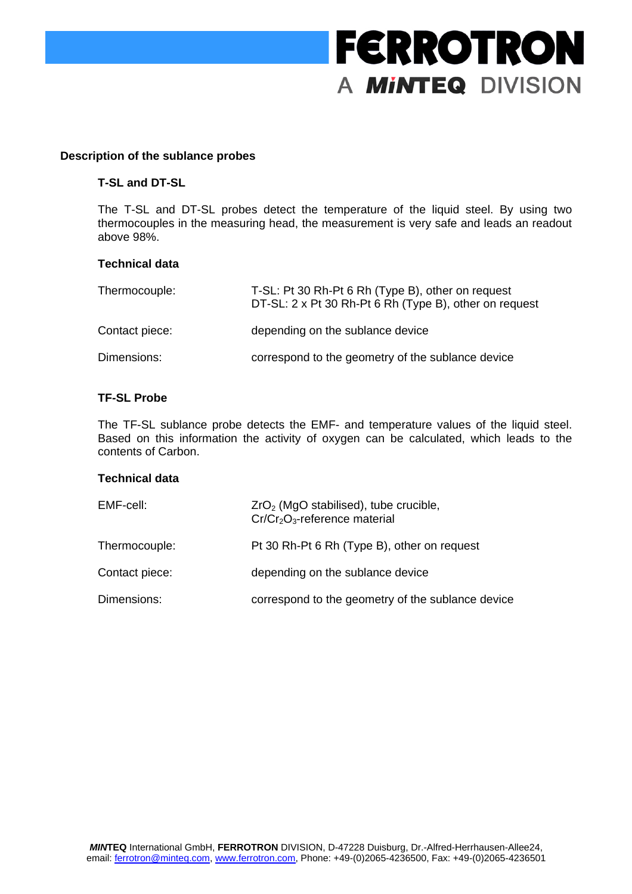## **FERROTRON** A **MINTEQ** DIVISION

#### **Description of the sublance probes**

#### **T-SL and DT-SL**

The T-SL and DT-SL probes detect the temperature of the liquid steel. By using two thermocouples in the measuring head, the measurement is very safe and leads an readout above 98%.

#### **Technical data**

| Thermocouple:  | T-SL: Pt 30 Rh-Pt 6 Rh (Type B), other on request<br>DT-SL: 2 x Pt 30 Rh-Pt 6 Rh (Type B), other on request |
|----------------|-------------------------------------------------------------------------------------------------------------|
| Contact piece: | depending on the sublance device                                                                            |
| Dimensions:    | correspond to the geometry of the sublance device                                                           |

#### **TF-SL Probe**

The TF-SL sublance probe detects the EMF- and temperature values of the liquid steel. Based on this information the activity of oxygen can be calculated, which leads to the contents of Carbon.

#### **Technical data**

| EMF-cell:      | $ZrO2$ (MgO stabilised), tube crucible,<br>$Cr/Cr2O3$ -reference material |
|----------------|---------------------------------------------------------------------------|
| Thermocouple:  | Pt 30 Rh-Pt 6 Rh (Type B), other on request                               |
| Contact piece: | depending on the sublance device                                          |
| Dimensions:    | correspond to the geometry of the sublance device                         |